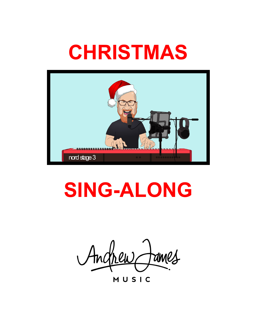# **CHRISTMAS**



# **SING-ALONG**

en James Angh

MUSIC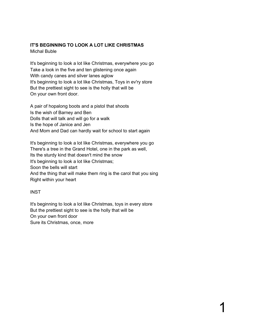#### **IT'S BEGINNING TO LOOK A LOT LIKE CHRISTMAS** Michal Buble

It's beginning to look a lot like Christmas, everywhere you go Take a look in the five and ten glistening once again With candy canes and silver lanes aglow It's beginning to look a lot like Christmas, Toys in ev'ry store But the prettiest sight to see is the holly that will be On your own front door.

A pair of hopalong boots and a pistol that shoots Is the wish of Barney and Ben Dolls that will talk and will go for a walk Is the hope of Janice and Jen And Mom and Dad can hardly wait for school to start again

It's beginning to look a lot like Christmas, everywhere you go There's a tree in the Grand Hotel, one in the park as well, Its the sturdy kind that doesn't mind the snow It's beginning to look a lot like Christmas; Soon the bells will start And the thing that will make them ring is the carol that you sing Right within your heart

**INST** 

It's beginning to look a lot like Christmas, toys in every store But the prettiest sight to see is the holly that will be On your own front door Sure its Christmas, once, more

1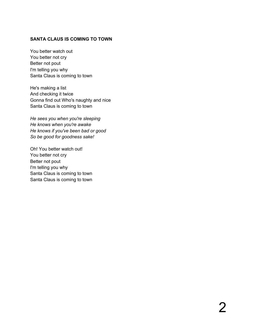#### **SANTA CLAUS IS COMING TO TOWN**

You better watch out You better not cry Better not pout I'm telling you why Santa Claus is coming to town

He's making a list And checking it twice Gonna find out Who's naughty and nice Santa Claus is coming to town

*He sees you when you're sleeping He knows when you're awake He knows if you've been bad or good So be good for goodness sake!*

Oh! You better watch out! You better not cry Better not pout I'm telling you why Santa Claus is coming to town Santa Claus is coming to town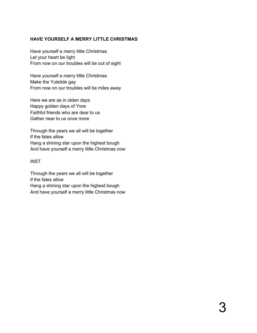# **HAVE YOURSELF A MERRY LITTLE CHRISTMAS**

Have yourself a merry little Christmas Let your heart be light From now on our troubles will be out of sight

Have yourself a merry little Christmas Make the Yuletide gay From now on our troubles will be miles away

Here we are as in olden days Happy golden days of Yore Faithful friends who are dear to us Gather near to us once more

Through the years we all will be together If the fates allow Hang a shining star upon the highest bough And have yourself a merry little Christmas now

#### **INST**

Through the years we all will be together If the fates allow Hang a shining star upon the highest bough And have yourself a merry little Christmas now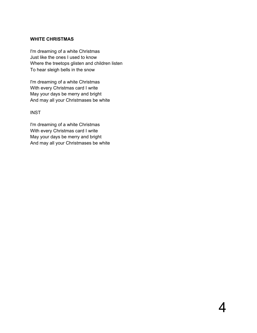#### **WHITE CHRISTMAS**

I'm dreaming of a white Christmas Just like the ones I used to know Where the treetops glisten and children listen To hear sleigh bells in the snow

I'm dreaming of a white Christmas With every Christmas card I write May your days be merry and bright And may all your Christmases be white

**INST** 

I'm dreaming of a white Christmas With every Christmas card I write May your days be merry and bright And may all your Christmases be white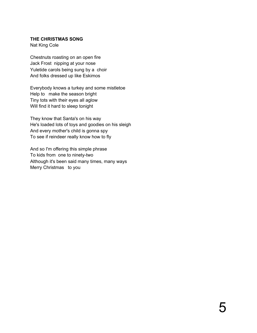#### **THE CHRISTMAS SONG**

Nat King Cole

Chestnuts roasting on an open fire Jack Frost nipping at your nose Yuletide carols being sung by a choir And folks dressed up like Eskimos

Everybody knows a turkey and some mistletoe Help to make the season bright Tiny tots with their eyes all aglow Will find it hard to sleep tonight

They know that Santa's on his way He's loaded lots of toys and goodies on his sleigh And every mother's child is gonna spy To see if reindeer really know how to fly

And so I'm offering this simple phrase To kids from one to ninety-two Although it's been said many times, many ways Merry Christmas to you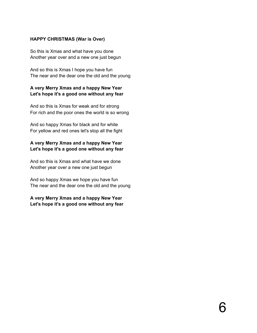#### **HAPPY CHRISTMAS (War is Over)**

So this is Xmas and what have you done Another year over and a new one just begun

And so this is Xmas I hope you have fun The near and the dear one the old and the young

#### **A very Merry Xmas and a happy New Year Let's hope it's a good one without any fear**

And so this is Xmas for weak and for strong For rich and the poor ones the world is so wrong

And so happy Xmas for black and for white For yellow and red ones let's stop all the fight

#### **A very Merry Xmas and a happy New Year Let's hope it's a good one without any fear**

And so this is Xmas and what have we done Another year over a new one just begun

And so happy Xmas we hope you have fun The near and the dear one the old and the young

**A very Merry Xmas and a happy New Year Let's hope it's a good one without any fear**

6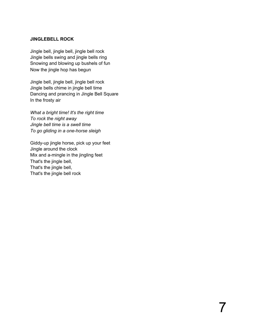#### **JINGLEBELL ROCK**

Jingle bell, jingle bell, jingle bell rock Jingle bells swing and jingle bells ring Snowing and blowing up bushels of fun Now the jingle hop has begun

Jingle bell, jingle bell, jingle bell rock Jingle bells chime in jingle bell time Dancing and prancing in Jingle Bell Square In the frosty air

*What a bright time! It's the right time To rock the night away Jingle bell time is a swell time To go gliding in a one-horse sleigh*

Giddy-up jingle horse, pick up your feet Jingle around the clock Mix and a-mingle in the jingling feet That's the jingle bell, That's the jingle bell, That's the jingle bell rock

7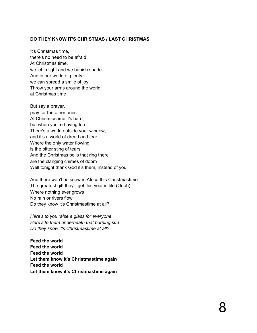#### **DO THEY KNOW IT'S CHRISTMAS / LAST CHRISTMAS**

It's Christmas time, there's no need to be afraid At Christmas time, we let in light and we banish shade And in our world of plenty we can spread a smile of joy Throw your arms around the world at Christmas time

But say a prayer, pray for the other ones At Christmastime it's hard, but when you're having fun There's a world outside your window, and it's a world of dread and fear Where the only water flowing is the bitter sting of tears And the Christmas bells that ring there are the clanging chimes of doom Well tonight thank God it's them, instead of you

And there won't be snow in Africa this Christmastime The greatest gift they'll get this year is life (Oooh) Where nothing ever grows No rain or rivers flow Do they know it's Christmastime at all?

*Here's to you raise a glass for everyone Here's to them underneath that burning sun Do they know it's Christmastime at all?*

**Feed the world Feed the world Feed the world Let them know it's Christmastime again Feed the world Let them know it's Christmastime again**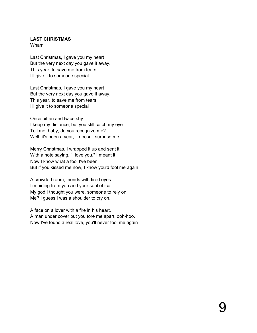#### **LAST CHRISTMAS**

Wham

Last Christmas, I gave you my heart But the very next day you gave it away. This year, to save me from tears I'll give it to someone special.

Last Christmas, I gave you my heart But the very next day you gave it away. This year, to save me from tears I'll give it to someone special

Once bitten and twice shy I keep my distance, but you still catch my eye Tell me, baby, do you recognize me? Well, it's been a year, it doesn't surprise me

Merry Christmas, I wrapped it up and sent it With a note saying, "I love you," I meant it Now I know what a fool I've been. But if you kissed me now, I know you'd fool me again.

A crowded room, friends with tired eyes. I'm hiding from you and your soul of ice My god I thought you were, someone to rely on. Me? I guess I was a shoulder to cry on.

A face on a lover with a fire in his heart. A man under cover but you tore me apart, ooh-hoo. Now I've found a real love, you'll never fool me again

9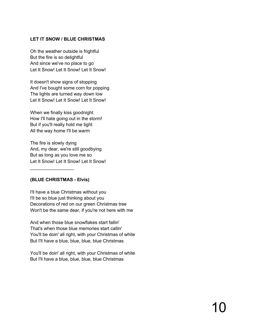# **LET IT SNOW / BLUE CHRISTMAS**

Oh the weather outside is frightful But the fire is so delightful And since we've no place to go Let It Snow! Let It Snow! Let It Snow!

It doesn't show signs of stopping And I've bought some corn for popping The lights are turned way down low Let It Snow! Let It Snow! Let It Snow!

When we finally kiss goodnight How I'll hate going out in the storm! But if you'll really hold me tight All the way home I'll be warm

The fire is slowly dying And, my dear, we're still goodbying But as long as you love me so Let It Snow! Let It Snow! Let It Snow!

# **(BLUE CHRISTMAS - Elvis)**

 $\overline{\phantom{a}}$  . The set of the set of the set of the set of the set of the set of the set of the set of the set of the set of the set of the set of the set of the set of the set of the set of the set of the set of the set o

I'll have a blue Christmas without you I'll be so blue just thinking about you Decorations of red on our green Christmas tree Won't be the same dear, if you're not here with me

And when those blue snowflakes start fallin' That's when those blue memories start callin' You'll be doin' all right, with your Christmas of white But I'll have a blue, blue, blue, blue Christmas

You'll be doin' all right, with your Christmas of white But I'll have a blue, blue, blue, blue Christmas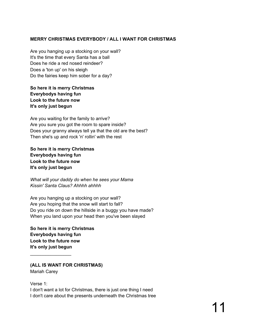# **MERRY CHRISTMAS EVERYBODY / ALL I WANT FOR CHRISTMAS**

Are you hanging up a stocking on your wall? It's the time that every Santa has a ball Does he ride a red nosed reindeer? Does a 'ton up' on his sleigh Do the fairies keep him sober for a day?

**So here it is merry Christmas Everybodys having fun Look to the future now It's only just begun**

Are you waiting for the family to arrive? Are you sure you got the room to spare inside? Does your granny always tell ya that the old are the best? Then she's up and rock 'n' rollin' with the rest

**So here it is merry Christmas Everybodys having fun Look to the future now It's only just begun**

*What will your daddy do when he sees your Mama Kissin' Santa Claus? Ahhhh ahhhh*

Are you hanging up a stocking on your wall? Are you hoping that the snow will start to fall? Do you ride on down the hillside in a buggy you have made? When you land upon your head then you've been slayed

**So here it is merry Christmas Everybodys having fun Look to the future now It's only just begun**

 $\overline{\phantom{a}}$  . The set of the set of the set of the set of the set of the set of the set of the set of the set of the set of the set of the set of the set of the set of the set of the set of the set of the set of the set o

**(ALL IS WANT FOR CHRISTMAS)** Mariah Carey

Verse 1: I don't want a lot for Christmas, there is just one thing I need I don't care about the presents underneath the Christmas tree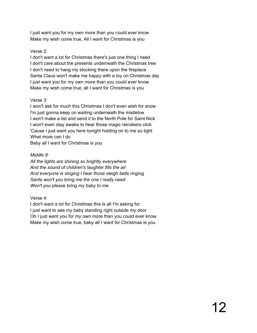I just want you for my own more than you could ever know Make my wish come true, All I want for Christmas is you

# Verse 2:

I don't want a lot for Christmas there's just one thing I need I don't care about the presents underneath the Christmas tree I don't need to hang my stocking there upon the fireplace Santa Claus won't make me happy with a toy on Christmas day I just want you for my own more than you could ever know Make my wish come true, all I want for Christmas is you

# Verse 3:

I won't ask for much this Christmas I don't even wish for snow I'm just gonna keep on waiting underneath the mistletoe I won't make a list and send it to the North Pole for Saint Nick I won't even stay awake to hear those magic reindeers click 'Cause I just want you here tonight holding on to me so tight What more can I do

Baby all I want for Christmas is you

# *Middle 8:*

*All the lights are shining so brightly everywhere And the sound of children's laughter fills the air And everyone is singing I hear those sleigh bells ringing Santa won't you bring me the one I really need Won't you please bring my baby to me*

# Verse 4:

I don't want a lot for Christmas this is all I'm asking for I just want to see my baby standing right outside my door Oh I just want you for my own more than you could ever know Make my wish come true, baby all I want for Christmas is you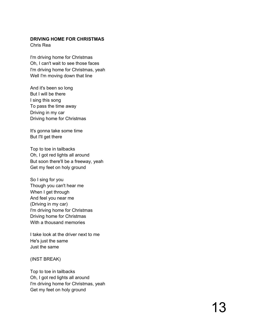#### DRIVING HOME FOR CHRISTMAS

C h ris R e a

I'm driving home for Christmas Oh, I can't wait to see those faces I'm driving home for Christmas, ye a h Well I'm moving down that line

And it's been so long But I will be there I sing this song To pass the time away Driving in my car Driving home for Christmas

It's gonna take some time But I'll get there

Top to toe in tailbacks Oh, I got red lights all aroun d But soon there'll be a freeway, yeah Get my feet on holy ground

So I sing for you Though you can't hear me When I get through And feel you near me (Driving in my car) I'm driving home for Christmas Driving home for Christmas With a thousand memories

I take look at the driver next to me He's just the same Just the same

(INST BREAK)

Top to toe in tailbacks Oh, I got red lights all around I'm driving home for Christmas, yeah Get my feet on holy ground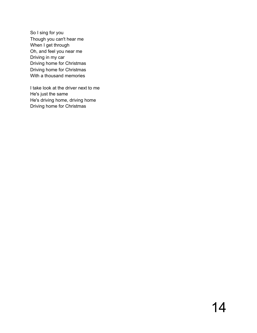So I sing for you Though you can't hear me When I get through Oh, and feel you near me Driving in my car Driving home for Christmas Driving home for Christmas With a thousand memories

I take look at the driver next to me He's just the same He's driving home, driving home Driving home for Christmas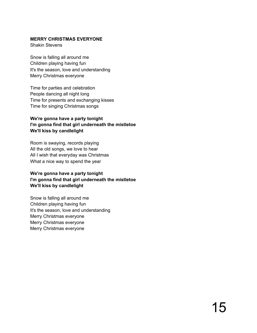#### **MERRY CHRISTMAS EVERYONE**

Shakin Stevens

Snow is falling all around me Children playing having fun It's the season, love and understanding Merry Christmas everyone

Time for parties and celebration People dancing all night long Time for presents and exchanging kisses Time for singing Christmas songs

# **We're gonna have a party tonight I'm gonna find that girl underneath the mistletoe We'll kiss by candlelight**

Room is swaying, records playing All the old songs, we love to hear All I wish that everyday was Christmas What a nice way to spend the year

# **We're gonna have a party tonight I'm gonna find that girl underneath the mistletoe We'll kiss by candlelight**

Snow is falling all around me Children playing having fun It's the season, love and understanding Merry Christmas everyone Merry Christmas everyone Merry Christmas everyone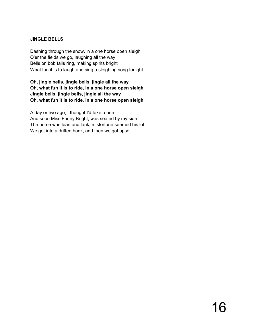# **JINGLE BELLS**

Dashing through the snow, in a one horse open sleigh O'er the fields we go, laughing all the way Bells on bob tails ring, making spirits bright What fun it is to laugh and sing a sleighing song tonight

**Oh, jingle bells, jingle bells, jingle all the way Oh, what fun it is to ride, in a one horse open sleigh Jingle bells, jingle bells, jingle all the way Oh, what fun it is to ride, in a one horse open sleigh**

A day or two ago, I thought I'd take a ride And soon Miss Fanny Bright, was seated by my side The horse was lean and lank, misfortune seemed his lot We got into a drifted bank, and then we got upsot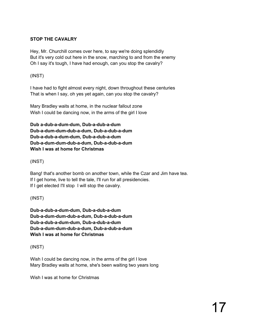# **STOP THE CAVALRY**

Hey, Mr. Churchill comes over here, to say we're doing splendidly But it's very cold out here in the snow, marching to and from the enemy Oh I say it's tough, I have had enough, can you stop the cavalry?

(INST)

I have had to fight almost every night, down throughout these centuries That is when I say, oh yes yet again, can you stop the cavalry?

Mary Bradley waits at home, in the nuclear fallout zone Wish I could be dancing now, in the arms of the girl I love

**Dub a-dub-a-dum-dum, Dub-a-dub-a-dum Dub-a-dum-dum-dub-a-dum, Dub-a-dub-a-dum Dub-a-dub-a-dum-dum, Dub-a-dub-a-dum Dub-a-dum-dum-dub-a-dum, Dub-a-dub-a-dum Wish I was at home for Christmas**

(INST)

Bang! that's another bomb on another town, while the Czar and Jim have tea. If I get home, live to tell the tale, I'll run for all presidencies. If I get elected I'll stop I will stop the cavalry.

(INST)

**Dub-a-dub-a-dum-dum, Dub-a-dub-a-dum Dub-a-dum-dum-dub-a-dum, Dub-a-dub-a-dum Dub-a-dub-a-dum-dum, Dub-a-dub-a-dum Dub-a-dum-dum-dub-a-dum, Dub-a-dub-a-dum Wish I was at home for Christmas**

(INST)

Wish I could be dancing now, in the arms of the girl I love Mary Bradley waits at home, she's been waiting two years long

Wish I was at home for Christmas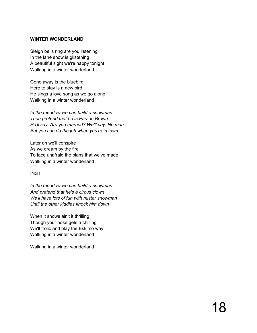#### **WINTER WONDERLAND**

Sleigh bells ring are you listening In the lane snow is glistening A beautiful sight we're happy tonight Walking in a winter wonderland

Gone away is the bluebird Here to stay is a new bird He sings a love song as we go along Walking in a winter wonderland

*In the meadow we can build a snowman Then pretend that he is Parson Brown He'll say: Are you married? We'll say: No man But you can do the job when you're in town*

Later on we'll conspire As we dream by the fire To face unafraid the plans that we've made Walking in a winter wonderland

#### INST

*In the meadow we can build a snowman And pretend that he's a circus clown We'll have lots of fun with mister snowman Until the other kiddies knock him down*

When it snows ain't it thrilling Though your nose gets a chilling We'll frolic and play the Eskimo way Walking in a winter wonderland

Walking in a winter wonderland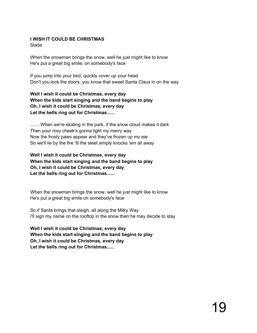# **I WISH IT COULD BE CHRISTMAS**

Slade

When the snowman brings the snow, well he just might like to know He's put a great big smile, on somebody's face

If you jump into your bed, quickly cover up your head Don't you lock the doors, you know that sweet Santa Claus in on the way

# **Well I wish it could be Christmas, every day When the kids start singing and the band begins to play Oh, I wish it could be Christmas, every day Let the bells ring out for Christmas......**

....... When we're skating in the park, if the snow cloud makes it dark Then your rosy cheek's gonna light my merry way Now the frosty paws appear and they've frozen up my ear So we'll lie by the fire 'til the sleet simply knocks 'em all away

**Well I wish it could be Christmas, every day When the kids start singing and the band begins to play Oh, I wish it could be Christmas, every day Let the bells ring out for Christmas......**

When the snowman brings the snow, well he just might like to know He's put a great big smile on somebody's face

So if Santa brings that sleigh, all along the Milky Way I'll sign my name on the rooftop in the snow then he may decide to stay

**Well I wish it could be Christmas, every day When the kids start singing and the band begins to play Oh, I wish it could be Christmas, every day Let the bells ring out for Christmas......**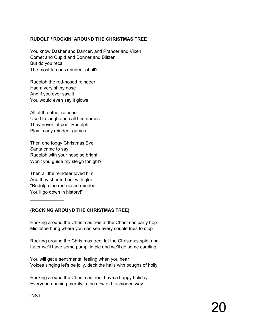# **RUDOLF / ROCKIN' AROUND THE CHRISTMAS TREE**

You know Dasher and Dancer, and Prancer and Vixen Comet and Cupid and Donner and Blitzen But do you recall The most famous reindeer of all?

Rudolph the red-nosed reindeer Had a very shiny nose And if you ever saw it You would even say it glows

All of the other reindeer Used to laugh and call him names They never let poor Rudolph Play in any reindeer games

Then one foggy Christmas Eve Santa came to say Rudolph with your nose so bright Won't you guide my sleigh tonight?

Then all the reindeer loved him And they shouted out with glee "Rudolph the red-nosed reindeer You'll go down in history!"

 $\mathcal{L}_\text{max}$  . The set of the set of the set of the set of the set of the set of the set of the set of the set of the set of the set of the set of the set of the set of the set of the set of the set of the set of the set

# **(ROCKING AROUND THE CHRISTMAS TREE)**

Rocking around the Christmas tree at the Christmas party hop Mistletoe hung where you can see every couple tries to stop

Rocking around the Christmas tree, let the Christmas spirit ring Later we'll have some pumpkin pie and we'll do some caroling.

You will get a sentimental feeling when you hear Voices singing let's be jolly, deck the halls with boughs of holly

Rocking around the Christmas tree, have a happy holiday Everyone dancing merrily in the new old-fashioned way.

INST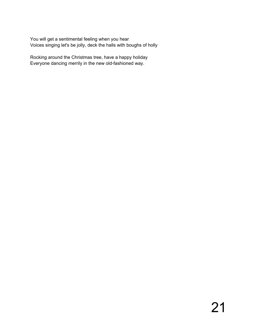You will get a sentimental feeling when you hear Voices singing let's be jolly, deck the halls with boughs of holly

Rocking around the Christmas tree, have a happy holiday Everyone dancing merrily in the new old-fashioned way.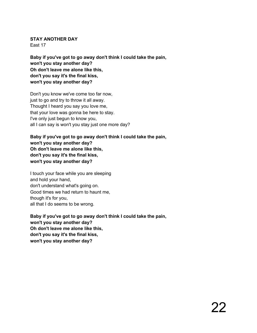# **STAY ANOTHER DAY**

East 17

**Baby if you've got to go away don't think I could take the pain, won't you stay another day? Oh don't leave me alone like this, don't you say it's the final kiss, won't you stay another day?**

Don't you know we've come too far now, just to go and try to throw it all away. Thought I heard you say you love me, that your love was gonna be here to stay. I've only just begun to know you, all I can say is won't you stay just one more day?

**Baby if you've got to go away don't think I could take the pain, won't you stay another day? Oh don't leave me alone like this, don't you say it's the final kiss, won't you stay another day?**

I touch your face while you are sleeping and hold your hand, don't understand what's going on. Good times we had return to haunt me, though it's for you, all that I do seems to be wrong.

**Baby if you've got to go away don't think I could take the pain, won't you stay another day? Oh don't leave me alone like this, don't you say it's the final kiss, won't you stay another day?**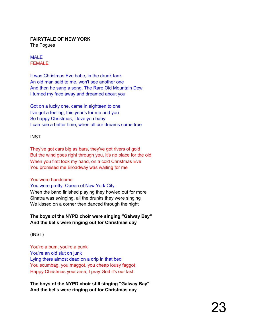# **FAIRYTALE OF NEW YORK**

The Pogues

# MALE FEMALE

It was Christmas Eve babe, in the drunk tank An old man said to me, won't see another one And then he sang a song, The Rare Old Mountain Dew I turned my face away and dreamed about you

Got on a lucky one, came in eighteen to one I've got a feeling, this year's for me and you So happy Christmas, I love you baby I can see a better time, when all our dreams come true

# **INST**

They've got cars big as bars, they've got rivers of gold But the wind goes right through you, it's no place for the old When you first took my hand, on a cold Christmas Eve You promised me Broadway was waiting for me

# You were handsome

You were pretty, Queen of New York City When the band finished playing they howled out for more Sinatra was swinging, all the drunks they were singing We kissed on a corner then danced through the night

**The boys of the NYPD choir were singing "Galway Bay" And the bells were ringing out for Christmas day**

(INST)

You're a bum, you're a punk You're an old slut on junk Lying there almost dead on a drip in that bed You scumbag, you maggot, you cheap lousy faggot Happy Christmas your arse, I pray God it's our last

**The boys of the NYPD choir still singing "Galway Bay" And the bells were ringing out for Christmas day**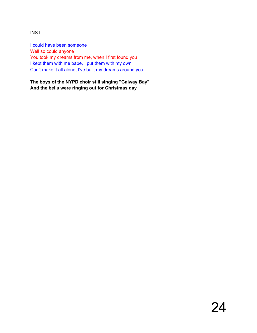# **INST**

I could have been someone Well so could anyone You took my dreams from me, when I first found you I kept them with me babe, I put them with my own Can't make it all alone, I've built my dreams around you

**The boys of the NYPD choir still singing "Galway Bay" And the bells were ringing out for Christmas day**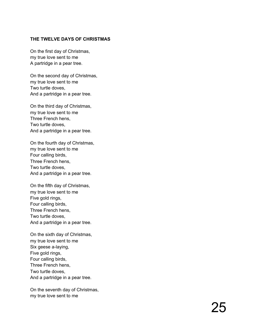#### THE TWELVE DAYS OF CHRISTMAS

On the first day of Christmas, my true love sent to me A partridge in a pear tree.

On the second day of Christm a s, my true love sent to me Two turtle doves, And a partridge in a pear tree.

On the third day of Christmas, my true love sent to me Three French hens, Two turtle doves, And a partridge in a pear tree.

On the fourth day of Christmas, my true love sent to me Four calling birds, Three French hens, Two turtle doves, And a partridge in a pear tree.

On the fifth day of Christmas, my true love sent to me Five gold rings, Four calling birds, Three French hens, Two turtle doves, And a partridge in a pear tree.

On the sixth day of Christmas, my true love sent to me Six geese a-laying, Five gold rings, Four calling birds, Three French hens, Two turtle doves, And a partridge in a pear tree.

On the seventh day of Christmas, my true love sent to me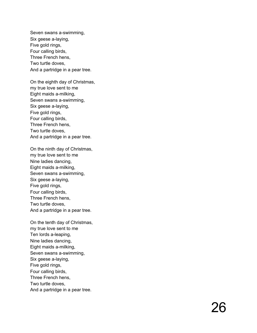Seven swans a-swimming, Six geese a-laying, Five gold rings, Four calling birds, Three French hens, Two turtle doves, And a partridge in a pear tree.

On the eighth day of Christma s, my true love sent to me Eight maids a-milking, Seven swans a-swimming, Six geese a-laying, Five gold rings, Four calling birds, Three French hens, Two turtle doves, And a partridge in a pear tree.

On the ninth day of Christmas, my true love sent to me Nine ladies dancing, Eight maids a-milking, Seven swans a-swimming, Six geese a-laying, Five gold rings, Four calling birds, Three French hens, Two turtle doves, And a partridge in a pear tree.

On the tenth day of Christmas, my true love sent to me Ten lords a-leaping, Nine ladies dancing, Eight maids a-milking, Seven swans a-swimming, Six geese a-laying, Five gold rings, Four calling birds, Three French hens, Two turtle doves, And a partridge in a pear tree.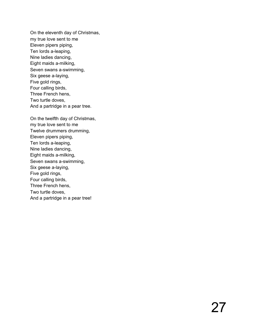On the eleventh day of Christmas, my true love sent to me Eleven pipers piping, Ten lords a-leaping, Nine ladies dancing, Eight maids a-milking, Seven swans a-swimming, Six geese a-laying, Five gold rings, Four calling birds, Three French hens, Two turtle doves, And a partridge in a pear tree.

On the twelfth day of Christmas, my true love sent to me Twelve drummers drumming, Eleven pipers piping, Ten lords a-leaping, Nine ladies dancing, Eight maids a-milking, Seven swans a-swimming, Six geese a-laying, Five gold rings, Four calling birds, Three French hens, Two turtle doves, And a partridge in a pear tree!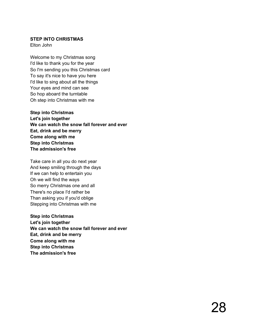#### **STEP INTO CHRISTMAS**

Elton John

Welcome to my Christmas song I'd like to thank you for the year So I'm sending you this Christmas card To say it's nice to have you here I'd like to sing about all the things Your eyes and mind can see So hop aboard the turntable Oh step into Christmas with me

**Step into Christmas Let's join together We can watch the snow fall forever and ever Eat, drink and be merry Come along with me Step into Christmas The admission's free**

Take care in all you do next year And keep smiling through the days If we can help to entertain you Oh we will find the ways So merry Christmas one and all There's no place I'd rather be Than asking you if you'd oblige Stepping into Christmas with me

**Step into Christmas Let's join together We can watch the snow fall forever and ever Eat, drink and be merry Come along with me Step into Christmas The admission's free**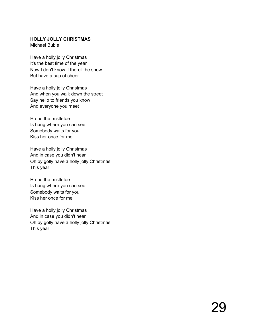#### **HOLLY JOLLY CHRISTMAS**

Michael Buble

Have a holly jolly Christmas It's the best time of the year Now I don't know if there'll be snow But have a cup of cheer

Have a holly jolly Christmas And when you walk down the street Say hello to friends you know And everyone you meet

Ho ho the mistletoe Is hung where you can see Somebody waits for you Kiss her once for me

Have a holly jolly Christmas And in case you didn't hear Oh by golly have a holly jolly Christmas This year

Ho ho the mistletoe Is hung where you can see Somebody waits for you Kiss her once for me

Have a holly jolly Christmas And in case you didn't hear Oh by golly have a holly jolly Christmas This year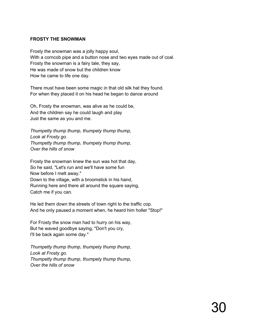#### **FROSTY THE SNOWMAN**

Frosty the snowman was a jolly happy soul, With a corncob pipe and a button nose and two eyes made out of coal. Frosty the snowman is a fairy tale, they say, He was made of snow but the children know How he came to life one day.

There must have been some magic in that old silk hat they found. For when they placed it on his head he began to dance around

Oh, Frosty the snowman, was alive as he could be, And the children say he could laugh and play Just the same as you and me.

*Thumpetty thump thump, thumpety thump thump, Look at Frosty go. Thumpetty thump thump, thumpety thump thump, Over the hills of snow*

Frosty the snowman knew the sun was hot that day, So he said, "Let's run and we'll have some fun Now before I melt away." Down to the village, with a broomstick in his hand, Running here and there all around the square saying, Catch me if you can.

He led them down the streets of town right to the traffic cop. And he only paused a moment when, he heard him holler "Stop!"

For Frosty the snow man had to hurry on his way, But he waved goodbye saying, "Don't you cry, I'll be back again some day."

*Thumpetty thump thump, thumpety thump thump, Look at Frosty go. Thumpetty thump thump, thumpety thump thump, Over the hills of snow*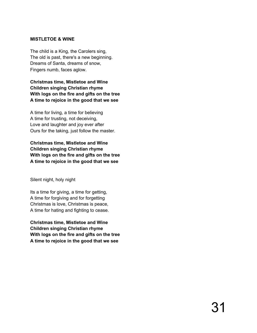#### **MISTLETOE & WINE**

The child is a King, the Carolers sing, The old is past, there's a new beginning. Dreams of Santa, dreams of snow, Fingers numb, faces aglow.

**Christmas time, Mistletoe and Wine Children singing Christian rhyme With logs on the fire and gifts on the tree A time to rejoice in the good that we see**

A time for living, a time for believing A time for trusting, not deceiving, Love and laughter and joy ever after Ours for the taking, just follow the master.

**Christmas time, Mistletoe and Wine Children singing Christian rhyme With logs on the fire and gifts on the tree A time to rejoice in the good that we see**

Silent night, holy night

Its a time for giving, a time for getting, A time for forgiving and for forgetting Christmas is love, Christmas is peace, A time for hating and fighting to cease.

**Christmas time, Mistletoe and Wine Children singing Christian rhyme With logs on the fire and gifts on the tree A time to rejoice in the good that we see**